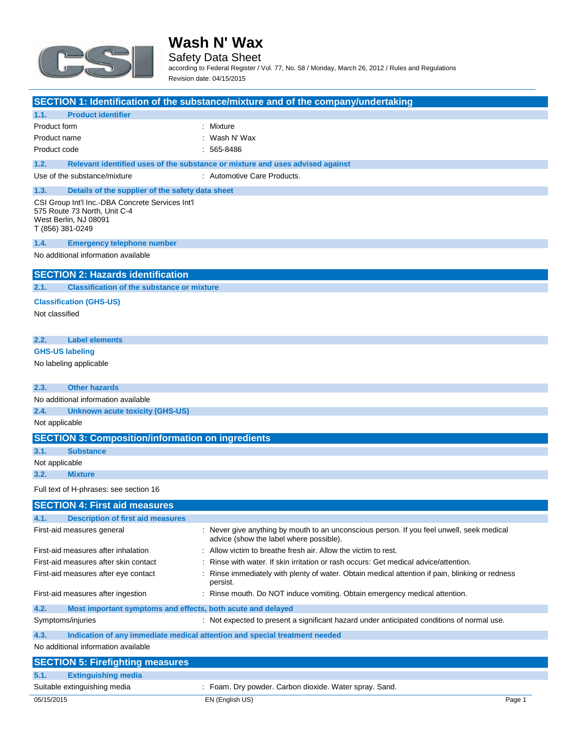

Safety Data Sheet

according to Federal Register / Vol. 77, No. 58 / Monday, March 26, 2012 / Rules and Regulations Revision date: 04/15/2015

| <b>Product identifier</b><br>: Mixture<br>Product form<br>Wash N' Wax<br>Product name<br>565-8486<br>Product code<br>Relevant identified uses of the substance or mixture and uses advised against<br>Use of the substance/mixture<br>: Automotive Care Products.<br>Details of the supplier of the safety data sheet<br>CSI Group Int'l Inc.-DBA Concrete Services Int'l<br>575 Route 73 North, Unit C-4<br>West Berlin, NJ 08091<br>T (856) 381-0249<br><b>Emergency telephone number</b><br>No additional information available<br><b>SECTION 2: Hazards identification</b><br><b>Classification of the substance or mixture</b><br><b>Classification (GHS-US)</b><br>Not classified<br><b>Label elements</b><br><b>GHS-US labeling</b><br>No labeling applicable<br><b>Other hazards</b><br>No additional information available<br><b>Unknown acute toxicity (GHS-US)</b><br>Not applicable<br><b>SECTION 3: Composition/information on ingredients</b><br><b>Substance</b><br>Not applicable<br><b>Mixture</b><br>Full text of H-phrases: see section 16<br><b>SECTION 4: First aid measures</b><br><b>Description of first aid measures</b><br>: Never give anything by mouth to an unconscious person. If you feel unwell, seek medical<br>First-aid measures general<br>advice (show the label where possible).<br>: Allow victim to breathe fresh air. Allow the victim to rest.<br>First-aid measures after inhalation<br>First-aid measures after skin contact<br>Rinse with water. If skin irritation or rash occurs: Get medical advice/attention.<br>First-aid measures after eye contact<br>Rinse immediately with plenty of water. Obtain medical attention if pain, blinking or redness<br>persist.<br>First-aid measures after ingestion<br>: Rinse mouth. Do NOT induce vomiting. Obtain emergency medical attention.<br>Most important symptoms and effects, both acute and delayed<br>Symptoms/injuries<br>: Not expected to present a significant hazard under anticipated conditions of normal use.<br>Indication of any immediate medical attention and special treatment needed |                                     |                                         | SECTION 1: Identification of the substance/mixture and of the company/undertaking |
|----------------------------------------------------------------------------------------------------------------------------------------------------------------------------------------------------------------------------------------------------------------------------------------------------------------------------------------------------------------------------------------------------------------------------------------------------------------------------------------------------------------------------------------------------------------------------------------------------------------------------------------------------------------------------------------------------------------------------------------------------------------------------------------------------------------------------------------------------------------------------------------------------------------------------------------------------------------------------------------------------------------------------------------------------------------------------------------------------------------------------------------------------------------------------------------------------------------------------------------------------------------------------------------------------------------------------------------------------------------------------------------------------------------------------------------------------------------------------------------------------------------------------------------------------------------------------------------------------------------------------------------------------------------------------------------------------------------------------------------------------------------------------------------------------------------------------------------------------------------------------------------------------------------------------------------------------------------------------------------------------------------------------------------------------------------------------------------------------------|-------------------------------------|-----------------------------------------|-----------------------------------------------------------------------------------|
|                                                                                                                                                                                                                                                                                                                                                                                                                                                                                                                                                                                                                                                                                                                                                                                                                                                                                                                                                                                                                                                                                                                                                                                                                                                                                                                                                                                                                                                                                                                                                                                                                                                                                                                                                                                                                                                                                                                                                                                                                                                                                                          | 1.1.                                |                                         |                                                                                   |
|                                                                                                                                                                                                                                                                                                                                                                                                                                                                                                                                                                                                                                                                                                                                                                                                                                                                                                                                                                                                                                                                                                                                                                                                                                                                                                                                                                                                                                                                                                                                                                                                                                                                                                                                                                                                                                                                                                                                                                                                                                                                                                          |                                     |                                         |                                                                                   |
|                                                                                                                                                                                                                                                                                                                                                                                                                                                                                                                                                                                                                                                                                                                                                                                                                                                                                                                                                                                                                                                                                                                                                                                                                                                                                                                                                                                                                                                                                                                                                                                                                                                                                                                                                                                                                                                                                                                                                                                                                                                                                                          |                                     |                                         |                                                                                   |
|                                                                                                                                                                                                                                                                                                                                                                                                                                                                                                                                                                                                                                                                                                                                                                                                                                                                                                                                                                                                                                                                                                                                                                                                                                                                                                                                                                                                                                                                                                                                                                                                                                                                                                                                                                                                                                                                                                                                                                                                                                                                                                          |                                     |                                         |                                                                                   |
|                                                                                                                                                                                                                                                                                                                                                                                                                                                                                                                                                                                                                                                                                                                                                                                                                                                                                                                                                                                                                                                                                                                                                                                                                                                                                                                                                                                                                                                                                                                                                                                                                                                                                                                                                                                                                                                                                                                                                                                                                                                                                                          | 1.2.                                |                                         |                                                                                   |
|                                                                                                                                                                                                                                                                                                                                                                                                                                                                                                                                                                                                                                                                                                                                                                                                                                                                                                                                                                                                                                                                                                                                                                                                                                                                                                                                                                                                                                                                                                                                                                                                                                                                                                                                                                                                                                                                                                                                                                                                                                                                                                          |                                     |                                         |                                                                                   |
|                                                                                                                                                                                                                                                                                                                                                                                                                                                                                                                                                                                                                                                                                                                                                                                                                                                                                                                                                                                                                                                                                                                                                                                                                                                                                                                                                                                                                                                                                                                                                                                                                                                                                                                                                                                                                                                                                                                                                                                                                                                                                                          | 1.3.                                |                                         |                                                                                   |
|                                                                                                                                                                                                                                                                                                                                                                                                                                                                                                                                                                                                                                                                                                                                                                                                                                                                                                                                                                                                                                                                                                                                                                                                                                                                                                                                                                                                                                                                                                                                                                                                                                                                                                                                                                                                                                                                                                                                                                                                                                                                                                          |                                     |                                         |                                                                                   |
|                                                                                                                                                                                                                                                                                                                                                                                                                                                                                                                                                                                                                                                                                                                                                                                                                                                                                                                                                                                                                                                                                                                                                                                                                                                                                                                                                                                                                                                                                                                                                                                                                                                                                                                                                                                                                                                                                                                                                                                                                                                                                                          | 1.4.                                |                                         |                                                                                   |
|                                                                                                                                                                                                                                                                                                                                                                                                                                                                                                                                                                                                                                                                                                                                                                                                                                                                                                                                                                                                                                                                                                                                                                                                                                                                                                                                                                                                                                                                                                                                                                                                                                                                                                                                                                                                                                                                                                                                                                                                                                                                                                          |                                     |                                         |                                                                                   |
|                                                                                                                                                                                                                                                                                                                                                                                                                                                                                                                                                                                                                                                                                                                                                                                                                                                                                                                                                                                                                                                                                                                                                                                                                                                                                                                                                                                                                                                                                                                                                                                                                                                                                                                                                                                                                                                                                                                                                                                                                                                                                                          |                                     |                                         |                                                                                   |
|                                                                                                                                                                                                                                                                                                                                                                                                                                                                                                                                                                                                                                                                                                                                                                                                                                                                                                                                                                                                                                                                                                                                                                                                                                                                                                                                                                                                                                                                                                                                                                                                                                                                                                                                                                                                                                                                                                                                                                                                                                                                                                          | 2.1.                                |                                         |                                                                                   |
|                                                                                                                                                                                                                                                                                                                                                                                                                                                                                                                                                                                                                                                                                                                                                                                                                                                                                                                                                                                                                                                                                                                                                                                                                                                                                                                                                                                                                                                                                                                                                                                                                                                                                                                                                                                                                                                                                                                                                                                                                                                                                                          |                                     |                                         |                                                                                   |
|                                                                                                                                                                                                                                                                                                                                                                                                                                                                                                                                                                                                                                                                                                                                                                                                                                                                                                                                                                                                                                                                                                                                                                                                                                                                                                                                                                                                                                                                                                                                                                                                                                                                                                                                                                                                                                                                                                                                                                                                                                                                                                          | 2.2.                                |                                         |                                                                                   |
|                                                                                                                                                                                                                                                                                                                                                                                                                                                                                                                                                                                                                                                                                                                                                                                                                                                                                                                                                                                                                                                                                                                                                                                                                                                                                                                                                                                                                                                                                                                                                                                                                                                                                                                                                                                                                                                                                                                                                                                                                                                                                                          |                                     |                                         |                                                                                   |
|                                                                                                                                                                                                                                                                                                                                                                                                                                                                                                                                                                                                                                                                                                                                                                                                                                                                                                                                                                                                                                                                                                                                                                                                                                                                                                                                                                                                                                                                                                                                                                                                                                                                                                                                                                                                                                                                                                                                                                                                                                                                                                          |                                     |                                         |                                                                                   |
|                                                                                                                                                                                                                                                                                                                                                                                                                                                                                                                                                                                                                                                                                                                                                                                                                                                                                                                                                                                                                                                                                                                                                                                                                                                                                                                                                                                                                                                                                                                                                                                                                                                                                                                                                                                                                                                                                                                                                                                                                                                                                                          | 2.3.                                |                                         |                                                                                   |
|                                                                                                                                                                                                                                                                                                                                                                                                                                                                                                                                                                                                                                                                                                                                                                                                                                                                                                                                                                                                                                                                                                                                                                                                                                                                                                                                                                                                                                                                                                                                                                                                                                                                                                                                                                                                                                                                                                                                                                                                                                                                                                          |                                     |                                         |                                                                                   |
|                                                                                                                                                                                                                                                                                                                                                                                                                                                                                                                                                                                                                                                                                                                                                                                                                                                                                                                                                                                                                                                                                                                                                                                                                                                                                                                                                                                                                                                                                                                                                                                                                                                                                                                                                                                                                                                                                                                                                                                                                                                                                                          | 2.4.                                |                                         |                                                                                   |
|                                                                                                                                                                                                                                                                                                                                                                                                                                                                                                                                                                                                                                                                                                                                                                                                                                                                                                                                                                                                                                                                                                                                                                                                                                                                                                                                                                                                                                                                                                                                                                                                                                                                                                                                                                                                                                                                                                                                                                                                                                                                                                          |                                     |                                         |                                                                                   |
|                                                                                                                                                                                                                                                                                                                                                                                                                                                                                                                                                                                                                                                                                                                                                                                                                                                                                                                                                                                                                                                                                                                                                                                                                                                                                                                                                                                                                                                                                                                                                                                                                                                                                                                                                                                                                                                                                                                                                                                                                                                                                                          |                                     |                                         |                                                                                   |
|                                                                                                                                                                                                                                                                                                                                                                                                                                                                                                                                                                                                                                                                                                                                                                                                                                                                                                                                                                                                                                                                                                                                                                                                                                                                                                                                                                                                                                                                                                                                                                                                                                                                                                                                                                                                                                                                                                                                                                                                                                                                                                          | 3.1.                                |                                         |                                                                                   |
|                                                                                                                                                                                                                                                                                                                                                                                                                                                                                                                                                                                                                                                                                                                                                                                                                                                                                                                                                                                                                                                                                                                                                                                                                                                                                                                                                                                                                                                                                                                                                                                                                                                                                                                                                                                                                                                                                                                                                                                                                                                                                                          |                                     |                                         |                                                                                   |
|                                                                                                                                                                                                                                                                                                                                                                                                                                                                                                                                                                                                                                                                                                                                                                                                                                                                                                                                                                                                                                                                                                                                                                                                                                                                                                                                                                                                                                                                                                                                                                                                                                                                                                                                                                                                                                                                                                                                                                                                                                                                                                          | 3.2.                                |                                         |                                                                                   |
|                                                                                                                                                                                                                                                                                                                                                                                                                                                                                                                                                                                                                                                                                                                                                                                                                                                                                                                                                                                                                                                                                                                                                                                                                                                                                                                                                                                                                                                                                                                                                                                                                                                                                                                                                                                                                                                                                                                                                                                                                                                                                                          |                                     |                                         |                                                                                   |
|                                                                                                                                                                                                                                                                                                                                                                                                                                                                                                                                                                                                                                                                                                                                                                                                                                                                                                                                                                                                                                                                                                                                                                                                                                                                                                                                                                                                                                                                                                                                                                                                                                                                                                                                                                                                                                                                                                                                                                                                                                                                                                          |                                     |                                         |                                                                                   |
|                                                                                                                                                                                                                                                                                                                                                                                                                                                                                                                                                                                                                                                                                                                                                                                                                                                                                                                                                                                                                                                                                                                                                                                                                                                                                                                                                                                                                                                                                                                                                                                                                                                                                                                                                                                                                                                                                                                                                                                                                                                                                                          | 4.1.                                |                                         |                                                                                   |
|                                                                                                                                                                                                                                                                                                                                                                                                                                                                                                                                                                                                                                                                                                                                                                                                                                                                                                                                                                                                                                                                                                                                                                                                                                                                                                                                                                                                                                                                                                                                                                                                                                                                                                                                                                                                                                                                                                                                                                                                                                                                                                          |                                     |                                         |                                                                                   |
|                                                                                                                                                                                                                                                                                                                                                                                                                                                                                                                                                                                                                                                                                                                                                                                                                                                                                                                                                                                                                                                                                                                                                                                                                                                                                                                                                                                                                                                                                                                                                                                                                                                                                                                                                                                                                                                                                                                                                                                                                                                                                                          |                                     |                                         |                                                                                   |
|                                                                                                                                                                                                                                                                                                                                                                                                                                                                                                                                                                                                                                                                                                                                                                                                                                                                                                                                                                                                                                                                                                                                                                                                                                                                                                                                                                                                                                                                                                                                                                                                                                                                                                                                                                                                                                                                                                                                                                                                                                                                                                          |                                     |                                         |                                                                                   |
|                                                                                                                                                                                                                                                                                                                                                                                                                                                                                                                                                                                                                                                                                                                                                                                                                                                                                                                                                                                                                                                                                                                                                                                                                                                                                                                                                                                                                                                                                                                                                                                                                                                                                                                                                                                                                                                                                                                                                                                                                                                                                                          |                                     |                                         |                                                                                   |
|                                                                                                                                                                                                                                                                                                                                                                                                                                                                                                                                                                                                                                                                                                                                                                                                                                                                                                                                                                                                                                                                                                                                                                                                                                                                                                                                                                                                                                                                                                                                                                                                                                                                                                                                                                                                                                                                                                                                                                                                                                                                                                          |                                     |                                         |                                                                                   |
|                                                                                                                                                                                                                                                                                                                                                                                                                                                                                                                                                                                                                                                                                                                                                                                                                                                                                                                                                                                                                                                                                                                                                                                                                                                                                                                                                                                                                                                                                                                                                                                                                                                                                                                                                                                                                                                                                                                                                                                                                                                                                                          | 4.2.                                |                                         |                                                                                   |
|                                                                                                                                                                                                                                                                                                                                                                                                                                                                                                                                                                                                                                                                                                                                                                                                                                                                                                                                                                                                                                                                                                                                                                                                                                                                                                                                                                                                                                                                                                                                                                                                                                                                                                                                                                                                                                                                                                                                                                                                                                                                                                          |                                     |                                         |                                                                                   |
|                                                                                                                                                                                                                                                                                                                                                                                                                                                                                                                                                                                                                                                                                                                                                                                                                                                                                                                                                                                                                                                                                                                                                                                                                                                                                                                                                                                                                                                                                                                                                                                                                                                                                                                                                                                                                                                                                                                                                                                                                                                                                                          | 4.3.                                |                                         |                                                                                   |
|                                                                                                                                                                                                                                                                                                                                                                                                                                                                                                                                                                                                                                                                                                                                                                                                                                                                                                                                                                                                                                                                                                                                                                                                                                                                                                                                                                                                                                                                                                                                                                                                                                                                                                                                                                                                                                                                                                                                                                                                                                                                                                          | No additional information available |                                         |                                                                                   |
|                                                                                                                                                                                                                                                                                                                                                                                                                                                                                                                                                                                                                                                                                                                                                                                                                                                                                                                                                                                                                                                                                                                                                                                                                                                                                                                                                                                                                                                                                                                                                                                                                                                                                                                                                                                                                                                                                                                                                                                                                                                                                                          |                                     | <b>SECTION 5: Firefighting measures</b> |                                                                                   |

05/15/2015 EN (English US) Page 1 **5.1. Extinguishing media** Suitable extinguishing media : Foam. Dry powder. Carbon dioxide. Water spray. Sand.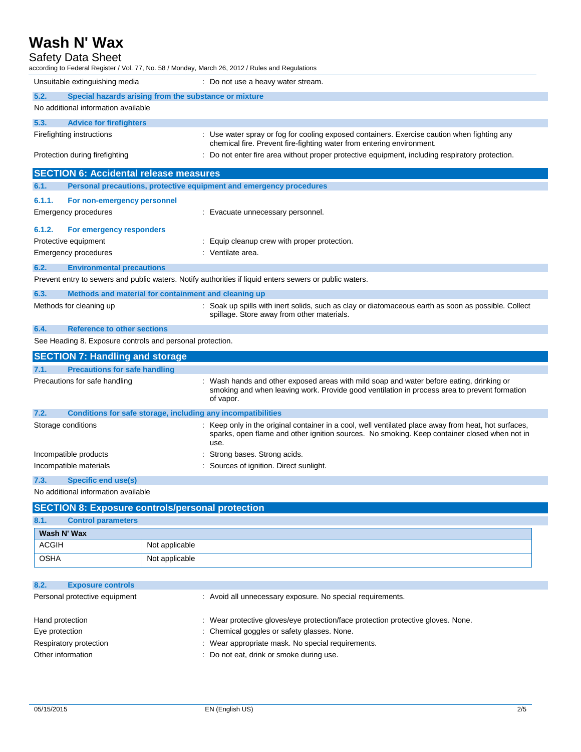| <b>Safety Data Sheet</b><br>according to Federal Register / Vol. 77, No. 58 / Monday, March 26, 2012 / Rules and Regulations |                                                                                                                                                                                                              |
|------------------------------------------------------------------------------------------------------------------------------|--------------------------------------------------------------------------------------------------------------------------------------------------------------------------------------------------------------|
| Unsuitable extinguishing media                                                                                               | : Do not use a heavy water stream.                                                                                                                                                                           |
| 5.2.<br>Special hazards arising from the substance or mixture                                                                |                                                                                                                                                                                                              |
| No additional information available                                                                                          |                                                                                                                                                                                                              |
| 5.3.<br><b>Advice for firefighters</b>                                                                                       |                                                                                                                                                                                                              |
| Firefighting instructions                                                                                                    | : Use water spray or fog for cooling exposed containers. Exercise caution when fighting any<br>chemical fire. Prevent fire-fighting water from entering environment.                                         |
| Protection during firefighting                                                                                               | : Do not enter fire area without proper protective equipment, including respiratory protection.                                                                                                              |
| <b>SECTION 6: Accidental release measures</b>                                                                                |                                                                                                                                                                                                              |
| 6.1.                                                                                                                         | Personal precautions, protective equipment and emergency procedures                                                                                                                                          |
| 6.1.1.<br>For non-emergency personnel                                                                                        |                                                                                                                                                                                                              |
| Emergency procedures                                                                                                         | : Evacuate unnecessary personnel.                                                                                                                                                                            |
| 6.1.2.<br>For emergency responders                                                                                           |                                                                                                                                                                                                              |
| Protective equipment                                                                                                         | : Equip cleanup crew with proper protection.                                                                                                                                                                 |
| Emergency procedures                                                                                                         | : Ventilate area.                                                                                                                                                                                            |
| 6.2.<br><b>Environmental precautions</b>                                                                                     |                                                                                                                                                                                                              |
|                                                                                                                              | Prevent entry to sewers and public waters. Notify authorities if liquid enters sewers or public waters.                                                                                                      |
| 6.3.<br>Methods and material for containment and cleaning up                                                                 |                                                                                                                                                                                                              |
| Methods for cleaning up                                                                                                      | : Soak up spills with inert solids, such as clay or diatomaceous earth as soon as possible. Collect<br>spillage. Store away from other materials.                                                            |
| 6.4.<br><b>Reference to other sections</b>                                                                                   |                                                                                                                                                                                                              |
| See Heading 8. Exposure controls and personal protection.                                                                    |                                                                                                                                                                                                              |
| <b>SECTION 7: Handling and storage</b>                                                                                       |                                                                                                                                                                                                              |
| 7.1.<br><b>Precautions for safe handling</b>                                                                                 |                                                                                                                                                                                                              |
| Precautions for safe handling                                                                                                | : Wash hands and other exposed areas with mild soap and water before eating, drinking or<br>smoking and when leaving work. Provide good ventilation in process area to prevent formation<br>of vapor.        |
| 7.2.<br>Conditions for safe storage, including any incompatibilities                                                         |                                                                                                                                                                                                              |
| Storage conditions                                                                                                           | : Keep only in the original container in a cool, well ventilated place away from heat, hot surfaces,<br>sparks, open flame and other ignition sources. No smoking. Keep container closed when not in<br>use. |
| Incompatible products                                                                                                        | Strong bases. Strong acids.<br>÷                                                                                                                                                                             |
| Incompatible materials                                                                                                       | Sources of ignition. Direct sunlight.                                                                                                                                                                        |
| <b>Specific end use(s)</b><br>7.3.                                                                                           |                                                                                                                                                                                                              |
| No additional information available                                                                                          |                                                                                                                                                                                                              |
| <b>SECTION 8: Exposure controls/personal protection</b>                                                                      |                                                                                                                                                                                                              |
| 8.1.<br><b>Control parameters</b>                                                                                            |                                                                                                                                                                                                              |
| Mach All May                                                                                                                 |                                                                                                                                                                                                              |

| Wash N' Wax  |                |  |
|--------------|----------------|--|
| <b>ACGIH</b> | Not applicable |  |
| <b>OSHA</b>  | Not applicable |  |

| 8.2.<br><b>Exposure controls</b> |                                                                                  |
|----------------------------------|----------------------------------------------------------------------------------|
| Personal protective equipment    | : Avoid all unnecessary exposure. No special requirements.                       |
|                                  |                                                                                  |
| Hand protection                  | : Wear protective gloves/eye protection/face protection protective gloves. None. |
| Eye protection                   | : Chemical goggles or safety glasses. None.                                      |
| Respiratory protection           | : Wear appropriate mask. No special requirements.                                |
| Other information                | : Do not eat, drink or smoke during use.                                         |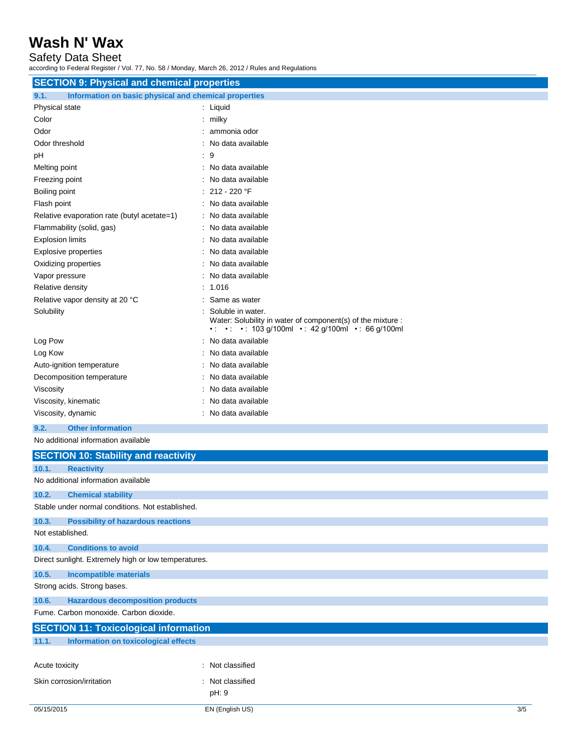Safety Data Sheet

according to Federal Register / Vol. 77, No. 58 / Monday, March 26, 2012 / Rules and Regulations

| <b>SECTION 9: Physical and chemical properties</b>            |                                                                                                                 |  |  |
|---------------------------------------------------------------|-----------------------------------------------------------------------------------------------------------------|--|--|
| Information on basic physical and chemical properties<br>9.1. |                                                                                                                 |  |  |
| Physical state                                                | : Liquid                                                                                                        |  |  |
| Color                                                         | $:$ milky                                                                                                       |  |  |
| Odor                                                          | : ammonia odor                                                                                                  |  |  |
| Odor threshold                                                | : No data available                                                                                             |  |  |
| pH                                                            | : 9                                                                                                             |  |  |
| Melting point                                                 | : No data available                                                                                             |  |  |
| Freezing point                                                | : No data available                                                                                             |  |  |
| Boiling point                                                 | : 212 - 220 °F                                                                                                  |  |  |
| Flash point                                                   | : No data available                                                                                             |  |  |
| Relative evaporation rate (butyl acetate=1)                   | : No data available                                                                                             |  |  |
| Flammability (solid, gas)                                     | : No data available                                                                                             |  |  |
| <b>Explosion limits</b>                                       | : No data available                                                                                             |  |  |
| <b>Explosive properties</b>                                   | : No data available                                                                                             |  |  |
| Oxidizing properties                                          | : No data available                                                                                             |  |  |
| Vapor pressure                                                | : No data available                                                                                             |  |  |
| Relative density                                              | : 1.016                                                                                                         |  |  |
| Relative vapor density at 20 °C                               | Same as water                                                                                                   |  |  |
| Solubility                                                    | Soluble in water.                                                                                               |  |  |
|                                                               | Water: Solubility in water of component(s) of the mixture :<br>•: •: •: 103 g/100ml •: 42 g/100ml •: 66 g/100ml |  |  |
| Log Pow                                                       | : No data available                                                                                             |  |  |
| Log Kow                                                       | No data available                                                                                               |  |  |
| Auto-ignition temperature                                     | : No data available                                                                                             |  |  |
| Decomposition temperature                                     | : No data available                                                                                             |  |  |
| Viscosity                                                     | : No data available                                                                                             |  |  |
| Viscosity, kinematic                                          | : No data available                                                                                             |  |  |
| Viscosity, dynamic                                            | : No data available                                                                                             |  |  |
| <b>Other information</b><br>9.2.                              |                                                                                                                 |  |  |
| No additional information available                           |                                                                                                                 |  |  |
| <b>SECTION 10: Stability and reactivity</b>                   |                                                                                                                 |  |  |
| 10.1.<br><b>Reactivity</b>                                    |                                                                                                                 |  |  |
| No additional information available                           |                                                                                                                 |  |  |
| 10.2.<br><b>Chemical stability</b>                            |                                                                                                                 |  |  |
| Stable under normal conditions. Not established.              |                                                                                                                 |  |  |
| 10.3.<br><b>Possibility of hazardous reactions</b>            |                                                                                                                 |  |  |
| Not established.                                              |                                                                                                                 |  |  |
| 10.4.<br><b>Conditions to avoid</b>                           |                                                                                                                 |  |  |
| Direct sunlight. Extremely high or low temperatures.          |                                                                                                                 |  |  |
| 10.5.<br><b>Incompatible materials</b>                        |                                                                                                                 |  |  |
| Strong acids. Strong bases.                                   |                                                                                                                 |  |  |
| <b>Hazardous decomposition products</b><br>10.6.              |                                                                                                                 |  |  |
| Fume. Carbon monoxide. Carbon dioxide.                        |                                                                                                                 |  |  |
|                                                               |                                                                                                                 |  |  |
| <b>Information on toxicological effects</b><br>11.1.          |                                                                                                                 |  |  |
| <b>SECTION 11: Toxicological information</b>                  |                                                                                                                 |  |  |

| Acute toxicity            | : Not classified |
|---------------------------|------------------|
| Skin corrosion/irritation | : Not classified |
|                           | pH: 9            |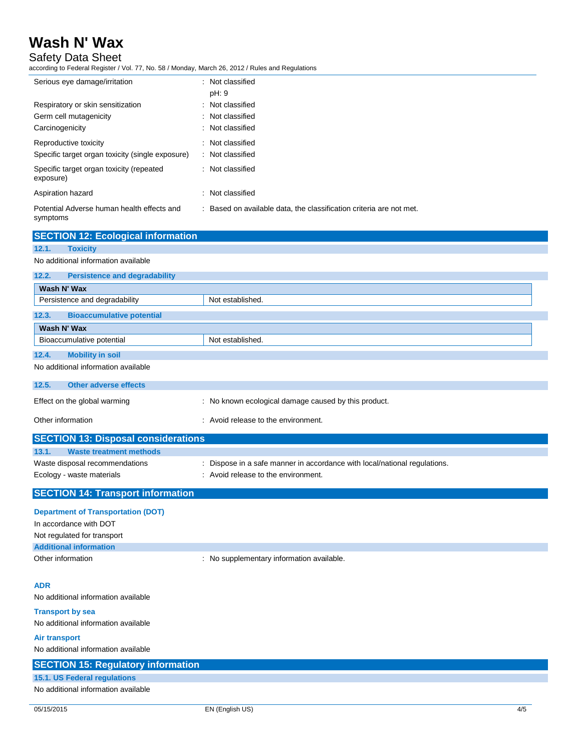Safety Data Sheet

according to Federal Register / Vol. 77, No. 58 / Monday, March 26, 2012 / Rules and Regulations

| Serious eye damage/irritation                                             | : Not classified<br>pH: 9                                           |
|---------------------------------------------------------------------------|---------------------------------------------------------------------|
| Respiratory or skin sensitization<br>Germ cell mutagenicity               | : Not classified<br>: Not classified                                |
| Carcinogenicity                                                           | : Not classified                                                    |
| Reproductive toxicity<br>Specific target organ toxicity (single exposure) | : Not classified<br>: Not classified                                |
| Specific target organ toxicity (repeated<br>exposure)                     | : Not classified                                                    |
| Aspiration hazard                                                         | : Not classified                                                    |
| Potential Adverse human health effects and<br>symptoms                    | : Based on available data, the classification criteria are not met. |

|                                                                     | <b>SECTION 12: Ecological information</b>  |                                                                         |
|---------------------------------------------------------------------|--------------------------------------------|-------------------------------------------------------------------------|
| <b>Toxicity</b><br>12.1.                                            |                                            |                                                                         |
| No additional information available                                 |                                            |                                                                         |
| 12.2.                                                               | <b>Persistence and degradability</b>       |                                                                         |
| Wash N' Wax                                                         |                                            |                                                                         |
| Persistence and degradability                                       |                                            | Not established.                                                        |
| 12.3.                                                               | <b>Bioaccumulative potential</b>           |                                                                         |
| Wash N' Wax                                                         |                                            |                                                                         |
| Bioaccumulative potential                                           |                                            | Not established.                                                        |
| <b>Mobility in soil</b><br>12.4.                                    |                                            |                                                                         |
| No additional information available                                 |                                            |                                                                         |
|                                                                     |                                            |                                                                         |
| 12.5.                                                               | <b>Other adverse effects</b>               |                                                                         |
| Effect on the global warming                                        |                                            | : No known ecological damage caused by this product.                    |
| Other information                                                   |                                            | : Avoid release to the environment.                                     |
|                                                                     | <b>SECTION 13: Disposal considerations</b> |                                                                         |
| 13.1.                                                               | <b>Waste treatment methods</b>             |                                                                         |
| Waste disposal recommendations                                      |                                            | Dispose in a safe manner in accordance with local/national regulations. |
| Ecology - waste materials                                           |                                            | : Avoid release to the environment.                                     |
|                                                                     | <b>SECTION 14: Transport information</b>   |                                                                         |
| <b>Department of Transportation (DOT)</b><br>In accordance with DOT |                                            |                                                                         |

| In accordance with DOT        |                                         |
|-------------------------------|-----------------------------------------|
| Not regulated for transport   |                                         |
| <b>Additional information</b> |                                         |
| Other information             | No supplementary information available. |

## **ADR**

No additional information available

**Transport by sea** No additional information available

## **Air transport** No additional information available **SECTION 15: Regulatory information 15.1. US Federal regulations** No additional information available